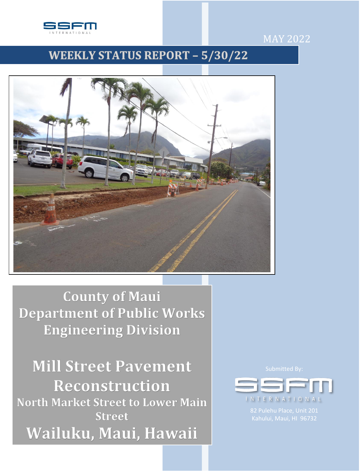

# $MAY 2022$

# **WEEKLY STATUS REPORT - 5/30/22**



**County of Maui Department of Public Works Engineering Division** 

**Mill Street Pavement** Reconstruction **North Market Street to Lower Main Street** Wailuku, Maui, Hawaii

I N T E R N A T I O N A L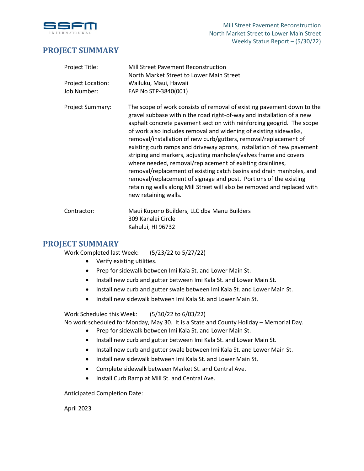

## **PROJECT SUMMARY**

| Project Title:          | Mill Street Pavement Reconstruction<br>North Market Street to Lower Main Street                                                                                                                                                                                                                                                                                                                                                                                                                                                                                                                                                                                                                                                                                                                                              |
|-------------------------|------------------------------------------------------------------------------------------------------------------------------------------------------------------------------------------------------------------------------------------------------------------------------------------------------------------------------------------------------------------------------------------------------------------------------------------------------------------------------------------------------------------------------------------------------------------------------------------------------------------------------------------------------------------------------------------------------------------------------------------------------------------------------------------------------------------------------|
| Project Location:       | Wailuku, Maui, Hawaii                                                                                                                                                                                                                                                                                                                                                                                                                                                                                                                                                                                                                                                                                                                                                                                                        |
| Job Number:             | FAP No STP-3840(001)                                                                                                                                                                                                                                                                                                                                                                                                                                                                                                                                                                                                                                                                                                                                                                                                         |
| <b>Project Summary:</b> | The scope of work consists of removal of existing pavement down to the<br>gravel subbase within the road right-of-way and installation of a new<br>asphalt concrete pavement section with reinforcing geogrid. The scope<br>of work also includes removal and widening of existing sidewalks,<br>removal/installation of new curb/gutters, removal/replacement of<br>existing curb ramps and driveway aprons, installation of new pavement<br>striping and markers, adjusting manholes/valves frame and covers<br>where needed, removal/replacement of existing drainlines,<br>removal/replacement of existing catch basins and drain manholes, and<br>removal/replacement of signage and post. Portions of the existing<br>retaining walls along Mill Street will also be removed and replaced with<br>new retaining walls. |
| Contractor:             | Maui Kupono Builders, LLC dba Manu Builders<br>309 Kanalei Circle                                                                                                                                                                                                                                                                                                                                                                                                                                                                                                                                                                                                                                                                                                                                                            |

### **PROJECT SUMMARY**

Work Completed last Week: (5/23/22 to 5/27/22)

Kahului, HI 96732

- Verify existing utilities.
- Prep for sidewalk between Imi Kala St. and Lower Main St.
- Install new curb and gutter between Imi Kala St. and Lower Main St.
- Install new curb and gutter swale between Imi Kala St. and Lower Main St.
- Install new sidewalk between Imi Kala St. and Lower Main St.

Work Scheduled this Week: (5/30/22 to 6/03/22)

No work scheduled for Monday, May 30. It is a State and County Holiday – Memorial Day.

- Prep for sidewalk between Imi Kala St. and Lower Main St.
- Install new curb and gutter between Imi Kala St. and Lower Main St.
- Install new curb and gutter swale between Imi Kala St. and Lower Main St.
- Install new sidewalk between Imi Kala St. and Lower Main St.
- Complete sidewalk between Market St. and Central Ave.
- Install Curb Ramp at Mill St. and Central Ave.

Anticipated Completion Date:

April 2023